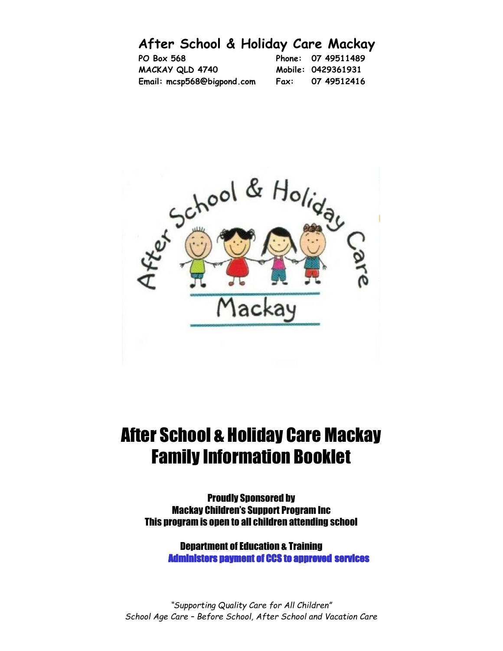# **After School & Holiday Care Mackay**

| PO Box 568                 |      | Phone: 07 49511489 |
|----------------------------|------|--------------------|
| MACKAY QLD 4740            |      | Mobile: 0429361931 |
| Email: mcsp568@bigpond.com | Fax: | 07 49512416        |



# After School & Holiday Care Mackay Family Information Booklet

Proudly Sponsored by Mackay Children's Support Program Inc This program is open to all children attending school

> Department of Education & Training Administers payment of CCS to approved services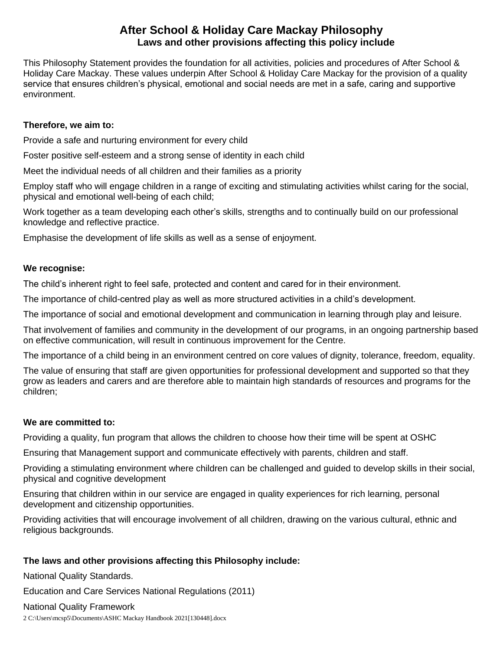# **After School & Holiday Care Mackay Philosophy Laws and other provisions affecting this policy include**

This Philosophy Statement provides the foundation for all activities, policies and procedures of After School & Holiday Care Mackay. These values underpin After School & Holiday Care Mackay for the provision of a quality service that ensures children's physical, emotional and social needs are met in a safe, caring and supportive environment.

# **Therefore, we aim to:**

Provide a safe and nurturing environment for every child

Foster positive self-esteem and a strong sense of identity in each child

Meet the individual needs of all children and their families as a priority

Employ staff who will engage children in a range of exciting and stimulating activities whilst caring for the social, physical and emotional well-being of each child;

Work together as a team developing each other's skills, strengths and to continually build on our professional knowledge and reflective practice.

Emphasise the development of life skills as well as a sense of enjoyment.

# **We recognise:**

The child's inherent right to feel safe, protected and content and cared for in their environment.

The importance of child-centred play as well as more structured activities in a child's development.

The importance of social and emotional development and communication in learning through play and leisure.

That involvement of families and community in the development of our programs, in an ongoing partnership based on effective communication, will result in continuous improvement for the Centre.

The importance of a child being in an environment centred on core values of dignity, tolerance, freedom, equality.

The value of ensuring that staff are given opportunities for professional development and supported so that they grow as leaders and carers and are therefore able to maintain high standards of resources and programs for the children;

# **We are committed to:**

Providing a quality, fun program that allows the children to choose how their time will be spent at OSHC

Ensuring that Management support and communicate effectively with parents, children and staff.

Providing a stimulating environment where children can be challenged and guided to develop skills in their social, physical and cognitive development

Ensuring that children within in our service are engaged in quality experiences for rich learning, personal development and citizenship opportunities.

Providing activities that will encourage involvement of all children, drawing on the various cultural, ethnic and religious backgrounds.

# **The laws and other provisions affecting this Philosophy include:**

National Quality Standards.

Education and Care Services National Regulations (2011)

National Quality Framework

2 C:\Users\mcsp5\Documents\ASHC Mackay Handbook 2021[130448].docx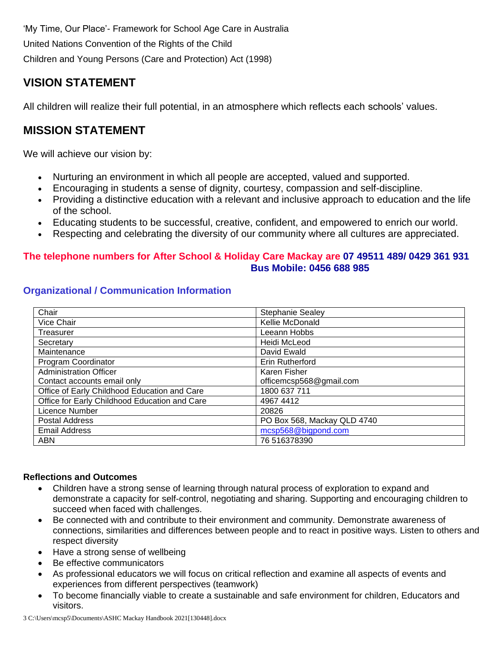'My Time, Our Place'- Framework for School Age Care in Australia United Nations Convention of the Rights of the Child Children and Young Persons (Care and Protection) Act (1998)

# **VISION STATEMENT**

All children will realize their full potential, in an atmosphere which reflects each schools' values.

# **MISSION STATEMENT**

We will achieve our vision by:

- Nurturing an environment in which all people are accepted, valued and supported.
- Encouraging in students a sense of dignity, courtesy, compassion and self-discipline.
- Providing a distinctive education with a relevant and inclusive approach to education and the life of the school.
- Educating students to be successful, creative, confident, and empowered to enrich our world.
- Respecting and celebrating the diversity of our community where all cultures are appreciated.

# **The telephone numbers for After School & Holiday Care Mackay are 07 49511 489/ 0429 361 931 Bus Mobile: 0456 688 985**

| Chair                                         | <b>Stephanie Sealey</b>     |
|-----------------------------------------------|-----------------------------|
| Vice Chair                                    | Kellie McDonald             |
| Treasurer                                     | Leeann Hobbs                |
| Secretary                                     | Heidi McLeod                |
| Maintenance                                   | David Ewald                 |
| Program Coordinator                           | Erin Rutherford             |
| <b>Administration Officer</b>                 | Karen Fisher                |
| Contact accounts email only                   | officemcsp568@gmail.com     |
| Office of Early Childhood Education and Care  | 1800 637 711                |
| Office for Early Childhood Education and Care | 4967 4412                   |
| Licence Number                                | 20826                       |
| <b>Postal Address</b>                         | PO Box 568, Mackay QLD 4740 |
| <b>Email Address</b>                          | mcsp568@bigpond.com         |
| <b>ABN</b>                                    | 76 516378390                |

# **Organizational / Communication Information**

# **Reflections and Outcomes**

- Children have a strong sense of learning through natural process of exploration to expand and demonstrate a capacity for self-control, negotiating and sharing. Supporting and encouraging children to succeed when faced with challenges.
- Be connected with and contribute to their environment and community. Demonstrate awareness of connections, similarities and differences between people and to react in positive ways. Listen to others and respect diversity
- Have a strong sense of wellbeing
- Be effective communicators
- As professional educators we will focus on critical reflection and examine all aspects of events and experiences from different perspectives (teamwork)
- To become financially viable to create a sustainable and safe environment for children, Educators and visitors.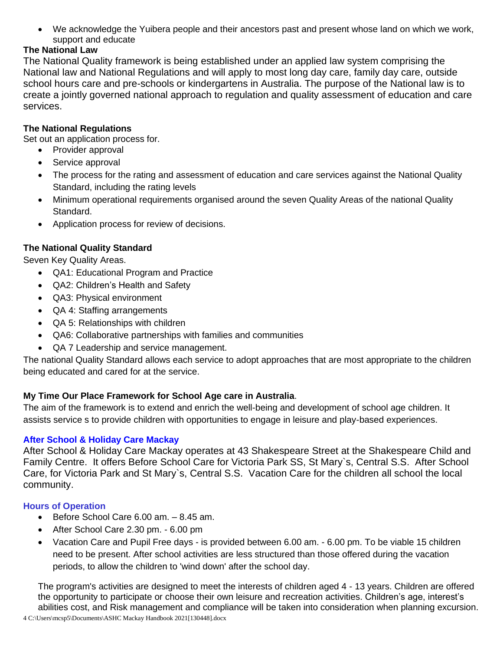• We acknowledge the Yuibera people and their ancestors past and present whose land on which we work, support and educate

# **The National Law**

The National Quality framework is being established under an applied law system comprising the National law and National Regulations and will apply to most long day care, family day care, outside school hours care and pre-schools or kindergartens in Australia. The purpose of the National law is to create a jointly governed national approach to regulation and quality assessment of education and care services.

# **The National Regulations**

Set out an application process for.

- Provider approval
- Service approval
- The process for the rating and assessment of education and care services against the National Quality Standard, including the rating levels
- Minimum operational requirements organised around the seven Quality Areas of the national Quality Standard.
- Application process for review of decisions.

# **The National Quality Standard**

Seven Key Quality Areas.

- QA1: Educational Program and Practice
- QA2: Children's Health and Safety
- QA3: Physical environment
- QA 4: Staffing arrangements
- QA 5: Relationships with children
- QA6: Collaborative partnerships with families and communities
- QA 7 Leadership and service management.

The national Quality Standard allows each service to adopt approaches that are most appropriate to the children being educated and cared for at the service.

# **My Time Our Place Framework for School Age care in Australia**.

The aim of the framework is to extend and enrich the well-being and development of school age children. It assists service s to provide children with opportunities to engage in leisure and play-based experiences.

# **After School & Holiday Care Mackay**

After School & Holiday Care Mackay operates at 43 Shakespeare Street at the Shakespeare Child and Family Centre. It offers Before School Care for Victoria Park SS, St Mary`s, Central S.S. After School Care, for Victoria Park and St Mary`s, Central S.S. Vacation Care for the children all school the local community.

# **Hours of Operation**

- Before School Care 6.00 am. 8.45 am.
- After School Care 2.30 pm. 6.00 pm
- Vacation Care and Pupil Free days is provided between 6.00 am. 6.00 pm. To be viable 15 children need to be present. After school activities are less structured than those offered during the vacation periods, to allow the children to 'wind down' after the school day.

The program's activities are designed to meet the interests of children aged 4 - 13 years. Children are offered the opportunity to participate or choose their own leisure and recreation activities. Children's age, interest's abilities cost, and Risk management and compliance will be taken into consideration when planning excursion.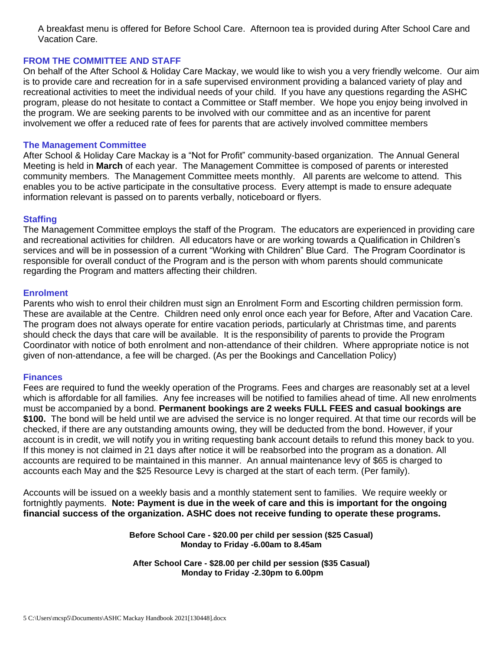A breakfast menu is offered for Before School Care. Afternoon tea is provided during After School Care and Vacation Care.

#### **FROM THE COMMITTEE AND STAFF**

On behalf of the After School & Holiday Care Mackay, we would like to wish you a very friendly welcome. Our aim is to provide care and recreation for in a safe supervised environment providing a balanced variety of play and recreational activities to meet the individual needs of your child. If you have any questions regarding the ASHC program, please do not hesitate to contact a Committee or Staff member. We hope you enjoy being involved in the program. We are seeking parents to be involved with our committee and as an incentive for parent involvement we offer a reduced rate of fees for parents that are actively involved committee members

#### **The Management Committee**

After School & Holiday Care Mackay is a "Not for Profit" community-based organization. The Annual General Meeting is held in **March** of each year. The Management Committee is composed of parents or interested community members. The Management Committee meets monthly. All parents are welcome to attend. This enables you to be active participate in the consultative process. Every attempt is made to ensure adequate information relevant is passed on to parents verbally, noticeboard or flyers.

#### **Staffing**

The Management Committee employs the staff of the Program. The educators are experienced in providing care and recreational activities for children. All educators have or are working towards a Qualification in Children's services and will be in possession of a current "Working with Children" Blue Card. The Program Coordinator is responsible for overall conduct of the Program and is the person with whom parents should communicate regarding the Program and matters affecting their children.

#### **Enrolment**

Parents who wish to enrol their children must sign an Enrolment Form and Escorting children permission form. These are available at the Centre. Children need only enrol once each year for Before, After and Vacation Care. The program does not always operate for entire vacation periods, particularly at Christmas time, and parents should check the days that care will be available. It is the responsibility of parents to provide the Program Coordinator with notice of both enrolment and non-attendance of their children. Where appropriate notice is not given of non-attendance, a fee will be charged. (As per the Bookings and Cancellation Policy)

#### **Finances**

Fees are required to fund the weekly operation of the Programs. Fees and charges are reasonably set at a level which is affordable for all families. Any fee increases will be notified to families ahead of time. All new enrolments must be accompanied by a bond. **Permanent bookings are 2 weeks FULL FEES and casual bookings are \$100.** The bond will be held until we are advised the service is no longer required. At that time our records will be checked, if there are any outstanding amounts owing, they will be deducted from the bond. However, if your account is in credit, we will notify you in writing requesting bank account details to refund this money back to you. If this money is not claimed in 21 days after notice it will be reabsorbed into the program as a donation. All accounts are required to be maintained in this manner. An annual maintenance levy of \$65 is charged to accounts each May and the \$25 Resource Levy is charged at the start of each term. (Per family).

Accounts will be issued on a weekly basis and a monthly statement sent to families. We require weekly or fortnightly payments. **Note: Payment is due in the week of care and this is important for the ongoing financial success of the organization. ASHC does not receive funding to operate these programs.**

> **Before School Care - \$20.00 per child per session (\$25 Casual) Monday to Friday -6.00am to 8.45am**

**After School Care - \$28.00 per child per session (\$35 Casual) Monday to Friday -2.30pm to 6.00pm**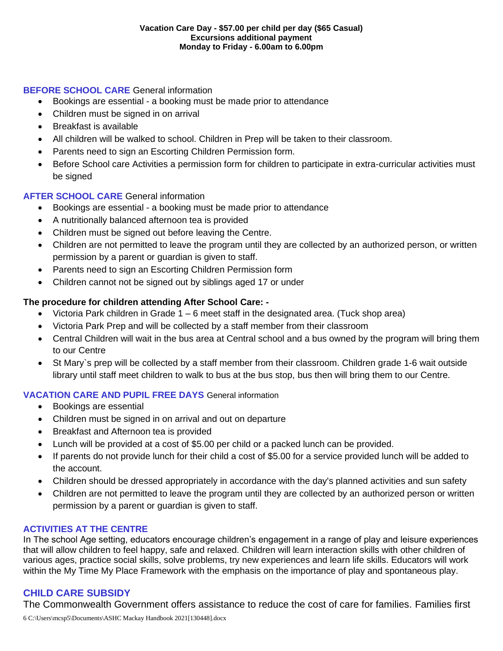# **BEFORE SCHOOL CARE** General information

- Bookings are essential a booking must be made prior to attendance
- Children must be signed in on arrival
- Breakfast is available
- All children will be walked to school. Children in Prep will be taken to their classroom.
- Parents need to sign an Escorting Children Permission form.
- Before School care Activities a permission form for children to participate in extra-curricular activities must be signed

# **AFTER SCHOOL CARE** General information

- Bookings are essential a booking must be made prior to attendance
- A nutritionally balanced afternoon tea is provided
- Children must be signed out before leaving the Centre.
- Children are not permitted to leave the program until they are collected by an authorized person, or written permission by a parent or guardian is given to staff.
- Parents need to sign an Escorting Children Permission form
- Children cannot not be signed out by siblings aged 17 or under

# **The procedure for children attending After School Care: -**

- Victoria Park children in Grade  $1 6$  meet staff in the designated area. (Tuck shop area)
- Victoria Park Prep and will be collected by a staff member from their classroom
- Central Children will wait in the bus area at Central school and a bus owned by the program will bring them to our Centre
- St Mary`s prep will be collected by a staff member from their classroom. Children grade 1-6 wait outside library until staff meet children to walk to bus at the bus stop, bus then will bring them to our Centre.

# **VACATION CARE AND PUPIL FREE DAYS** General information

- Bookings are essential
- Children must be signed in on arrival and out on departure
- Breakfast and Afternoon tea is provided
- Lunch will be provided at a cost of \$5.00 per child or a packed lunch can be provided.
- If parents do not provide lunch for their child a cost of \$5.00 for a service provided lunch will be added to the account.
- Children should be dressed appropriately in accordance with the day's planned activities and sun safety
- Children are not permitted to leave the program until they are collected by an authorized person or written permission by a parent or guardian is given to staff.

# **ACTIVITIES AT THE CENTRE**

In The school Age setting, educators encourage children's engagement in a range of play and leisure experiences that will allow children to feel happy, safe and relaxed. Children will learn interaction skills with other children of various ages, practice social skills, solve problems, try new experiences and learn life skills. Educators will work within the My Time My Place Framework with the emphasis on the importance of play and spontaneous play.

# **CHILD CARE SUBSIDY**

The Commonwealth Government offers assistance to reduce the cost of care for families. Families first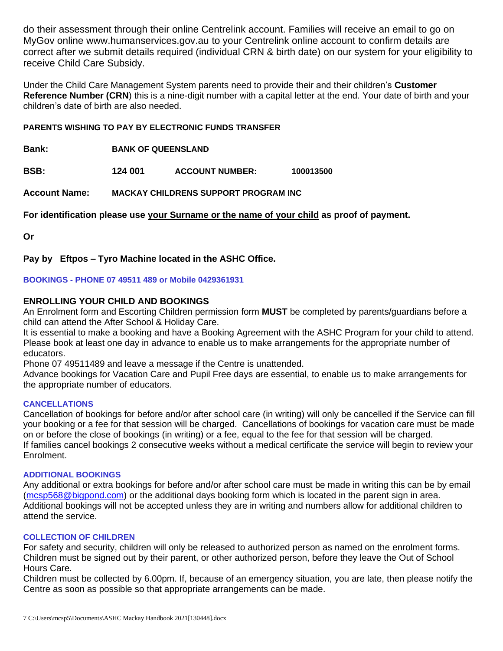do their assessment through their online Centrelink account. Families will receive an email to go on MyGov online www.humanservices.gov.au to your Centrelink online account to confirm details are correct after we submit details required (individual CRN & birth date) on our system for your eligibility to receive Child Care Subsidy.

Under the Child Care Management System parents need to provide their and their children's **Customer Reference Number (CRN**) this is a nine-digit number with a capital letter at the end. Your date of birth and your children's date of birth are also needed.

#### **PARENTS WISHING TO PAY BY ELECTRONIC FUNDS TRANSFER**

**Bank: BANK OF QUEENSLAND**

**BSB: 124 001 ACCOUNT NUMBER: 100013500**

**Account Name: MACKAY CHILDRENS SUPPORT PROGRAM INC**

**For identification please use your Surname or the name of your child as proof of payment.**

**Or**

**Pay by Eftpos – Tyro Machine located in the ASHC Office.**

**BOOKINGS - PHONE 07 49511 489 or Mobile 0429361931**

#### **ENROLLING YOUR CHILD AND BOOKINGS**

An Enrolment form and Escorting Children permission form **MUST** be completed by parents/guardians before a child can attend the After School & Holiday Care.

It is essential to make a booking and have a Booking Agreement with the ASHC Program for your child to attend. Please book at least one day in advance to enable us to make arrangements for the appropriate number of educators.

Phone 07 49511489 and leave a message if the Centre is unattended.

Advance bookings for Vacation Care and Pupil Free days are essential, to enable us to make arrangements for the appropriate number of educators.

#### **CANCELLATIONS**

Cancellation of bookings for before and/or after school care (in writing) will only be cancelled if the Service can fill your booking or a fee for that session will be charged. Cancellations of bookings for vacation care must be made on or before the close of bookings (in writing) or a fee, equal to the fee for that session will be charged. If families cancel bookings 2 consecutive weeks without a medical certificate the service will begin to review your Enrolment.

#### **ADDITIONAL BOOKINGS**

Any additional or extra bookings for before and/or after school care must be made in writing this can be by email [\(mcsp568@bigpond.com\)](mailto:mcsp568@bigpond.com) or the additional days booking form which is located in the parent sign in area. Additional bookings will not be accepted unless they are in writing and numbers allow for additional children to attend the service.

#### **COLLECTION OF CHILDREN**

For safety and security, children will only be released to authorized person as named on the enrolment forms. Children must be signed out by their parent, or other authorized person, before they leave the Out of School Hours Care.

Children must be collected by 6.00pm. If, because of an emergency situation, you are late, then please notify the Centre as soon as possible so that appropriate arrangements can be made.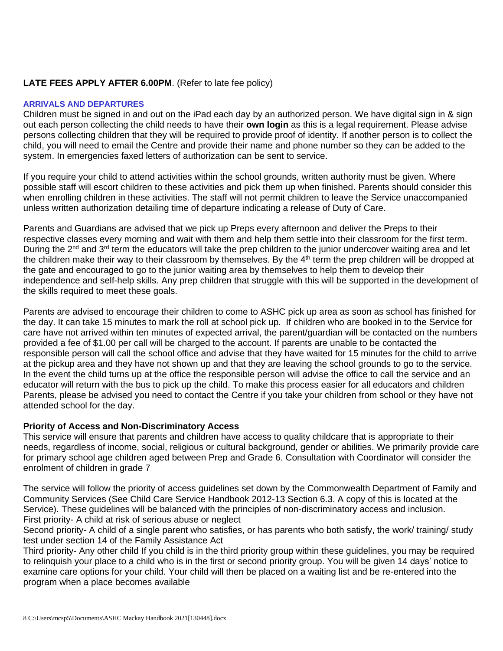# **LATE FEES APPLY AFTER 6.00PM**. (Refer to late fee policy)

#### **ARRIVALS AND DEPARTURES**

Children must be signed in and out on the iPad each day by an authorized person. We have digital sign in & sign out each person collecting the child needs to have their **own login** as this is a legal requirement. Please advise persons collecting children that they will be required to provide proof of identity. If another person is to collect the child, you will need to email the Centre and provide their name and phone number so they can be added to the system. In emergencies faxed letters of authorization can be sent to service.

If you require your child to attend activities within the school grounds, written authority must be given. Where possible staff will escort children to these activities and pick them up when finished. Parents should consider this when enrolling children in these activities. The staff will not permit children to leave the Service unaccompanied unless written authorization detailing time of departure indicating a release of Duty of Care.

Parents and Guardians are advised that we pick up Preps every afternoon and deliver the Preps to their respective classes every morning and wait with them and help them settle into their classroom for the first term. During the 2<sup>nd</sup> and 3<sup>rd</sup> term the educators will take the prep children to the junior undercover waiting area and let the children make their way to their classroom by themselves. By the  $4<sup>th</sup>$  term the prep children will be dropped at the gate and encouraged to go to the junior waiting area by themselves to help them to develop their independence and self-help skills. Any prep children that struggle with this will be supported in the development of the skills required to meet these goals.

Parents are advised to encourage their children to come to ASHC pick up area as soon as school has finished for the day. It can take 15 minutes to mark the roll at school pick up. If children who are booked in to the Service for care have not arrived within ten minutes of expected arrival, the parent/guardian will be contacted on the numbers provided a fee of \$1.00 per call will be charged to the account. If parents are unable to be contacted the responsible person will call the school office and advise that they have waited for 15 minutes for the child to arrive at the pickup area and they have not shown up and that they are leaving the school grounds to go to the service. In the event the child turns up at the office the responsible person will advise the office to call the service and an educator will return with the bus to pick up the child. To make this process easier for all educators and children Parents, please be advised you need to contact the Centre if you take your children from school or they have not attended school for the day.

# **Priority of Access and Non-Discriminatory Access**

This service will ensure that parents and children have access to quality childcare that is appropriate to their needs, regardless of income, social, religious or cultural background, gender or abilities. We primarily provide care for primary school age children aged between Prep and Grade 6. Consultation with Coordinator will consider the enrolment of children in grade 7

The service will follow the priority of access guidelines set down by the Commonwealth Department of Family and Community Services (See Child Care Service Handbook 2012-13 Section 6.3. A copy of this is located at the Service). These guidelines will be balanced with the principles of non-discriminatory access and inclusion. First priority- A child at risk of serious abuse or neglect

Second priority- A child of a single parent who satisfies, or has parents who both satisfy, the work/ training/ study test under section 14 of the Family Assistance Act

Third priority- Any other child If you child is in the third priority group within these guidelines, you may be required to relinquish your place to a child who is in the first or second priority group. You will be given 14 days' notice to examine care options for your child. Your child will then be placed on a waiting list and be re-entered into the program when a place becomes available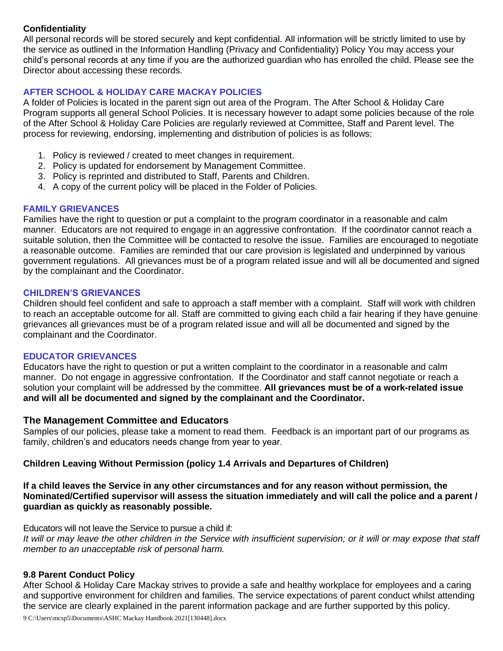# **Confidentiality**

All personal records will be stored securely and kept confidential. All information will be strictly limited to use by the service as outlined in the Information Handling (Privacy and Confidentiality) Policy You may access your child's personal records at any time if you are the authorized guardian who has enrolled the child. Please see the Director about accessing these records.

# **AFTER SCHOOL & HOLIDAY CARE MACKAY POLICIES**

A folder of Policies is located in the parent sign out area of the Program. The After School & Holiday Care Program supports all general School Policies. It is necessary however to adapt some policies because of the role of the After School & Holiday Care Policies are regularly reviewed at Committee, Staff and Parent level. The process for reviewing, endorsing, implementing and distribution of policies is as follows:

- 1. Policy is reviewed / created to meet changes in requirement.
- 2. Policy is updated for endorsement by Management Committee.
- 3. Policy is reprinted and distributed to Staff, Parents and Children.
- 4. A copy of the current policy will be placed in the Folder of Policies.

#### **FAMILY GRIEVANCES**

Families have the right to question or put a complaint to the program coordinator in a reasonable and calm manner. Educators are not required to engage in an aggressive confrontation. If the coordinator cannot reach a suitable solution, then the Committee will be contacted to resolve the issue. Families are encouraged to negotiate a reasonable outcome. Families are reminded that our care provision is legislated and underpinned by various government regulations. All grievances must be of a program related issue and will all be documented and signed by the complainant and the Coordinator.

#### **CHILDREN'S GRIEVANCES**

Children should feel confident and safe to approach a staff member with a complaint. Staff will work with children to reach an acceptable outcome for all. Staff are committed to giving each child a fair hearing if they have genuine grievances all grievances must be of a program related issue and will all be documented and signed by the complainant and the Coordinator.

#### **EDUCATOR GRIEVANCES**

Educators have the right to question or put a written complaint to the coordinator in a reasonable and calm manner. Do not engage in aggressive confrontation. If the Coordinator and staff cannot negotiate or reach a solution your complaint will be addressed by the committee. **All grievances must be of a work-related issue and will all be documented and signed by the complainant and the Coordinator.**

# **The Management Committee and Educators**

Samples of our policies, please take a moment to read them. Feedback is an important part of our programs as family, children's and educators needs change from year to year.

# **Children Leaving Without Permission (policy 1.4 Arrivals and Departures of Children)**

#### **If a child leaves the Service in any other circumstances and for any reason without permission, the Nominated/Certified supervisor will assess the situation immediately and will call the police and a parent / guardian as quickly as reasonably possible.**

Educators will not leave the Service to pursue a child if:

*It will or may leave the other children in the Service with insufficient supervision; or it will or may expose that staff member to an unacceptable risk of personal harm.*

#### **9.8 Parent Conduct Policy**

After School & Holiday Care Mackay strives to provide a safe and healthy workplace for employees and a caring and supportive environment for children and families. The service expectations of parent conduct whilst attending the service are clearly explained in the parent information package and are further supported by this policy.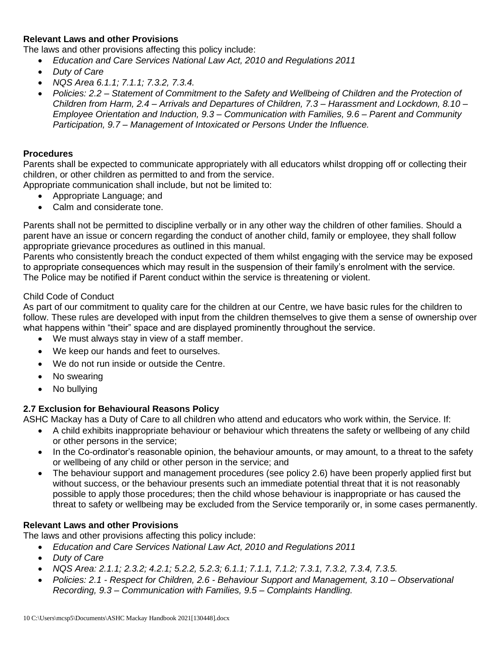# **Relevant Laws and other Provisions**

The laws and other provisions affecting this policy include:

- *Education and Care Services National Law Act, 2010 and Regulations 2011*
- *Duty of Care*
- *NQS Area 6.1.1; 7.1.1; 7.3.2, 7.3.4.*
- *Policies: 2.2 – Statement of Commitment to the Safety and Wellbeing of Children and the Protection of Children from Harm, 2.4 – Arrivals and Departures of Children, 7.3 – Harassment and Lockdown, 8.10 – Employee Orientation and Induction, 9.3 – Communication with Families, 9.6 – Parent and Community Participation, 9.7 – Management of Intoxicated or Persons Under the Influence.*

#### **Procedures**

Parents shall be expected to communicate appropriately with all educators whilst dropping off or collecting their children, or other children as permitted to and from the service.

Appropriate communication shall include, but not be limited to:

- Appropriate Language; and
- Calm and considerate tone.

Parents shall not be permitted to discipline verbally or in any other way the children of other families. Should a parent have an issue or concern regarding the conduct of another child, family or employee, they shall follow appropriate grievance procedures as outlined in this manual.

Parents who consistently breach the conduct expected of them whilst engaging with the service may be exposed to appropriate consequences which may result in the suspension of their family's enrolment with the service. The Police may be notified if Parent conduct within the service is threatening or violent.

#### Child Code of Conduct

As part of our commitment to quality care for the children at our Centre, we have basic rules for the children to follow. These rules are developed with input from the children themselves to give them a sense of ownership over what happens within "their" space and are displayed prominently throughout the service.

- We must always stay in view of a staff member.
- We keep our hands and feet to ourselves.
- We do not run inside or outside the Centre.
- No swearing
- No bullying

# **2.7 Exclusion for Behavioural Reasons Policy**

ASHC Mackay has a Duty of Care to all children who attend and educators who work within, the Service. If:

- A child exhibits inappropriate behaviour or behaviour which threatens the safety or wellbeing of any child or other persons in the service;
- In the Co-ordinator's reasonable opinion, the behaviour amounts, or may amount, to a threat to the safety or wellbeing of any child or other person in the service; and
- The behaviour support and management procedures (see policy 2.6) have been properly applied first but without success, or the behaviour presents such an immediate potential threat that it is not reasonably possible to apply those procedures; then the child whose behaviour is inappropriate or has caused the threat to safety or wellbeing may be excluded from the Service temporarily or, in some cases permanently.

# **Relevant Laws and other Provisions**

The laws and other provisions affecting this policy include:

- *Education and Care Services National Law Act, 2010 and Regulations 2011*
- *Duty of Care*
- *NQS Area: 2.1.1; 2.3.2; 4.2.1; 5.2.2, 5.2.3; 6.1.1; 7.1.1, 7.1.2; 7.3.1, 7.3.2, 7.3.4, 7.3.5.*
- *Policies: 2.1 - Respect for Children, 2.6 - Behaviour Support and Management, 3.10 – Observational Recording, 9.3 – Communication with Families, 9.5 – Complaints Handling.*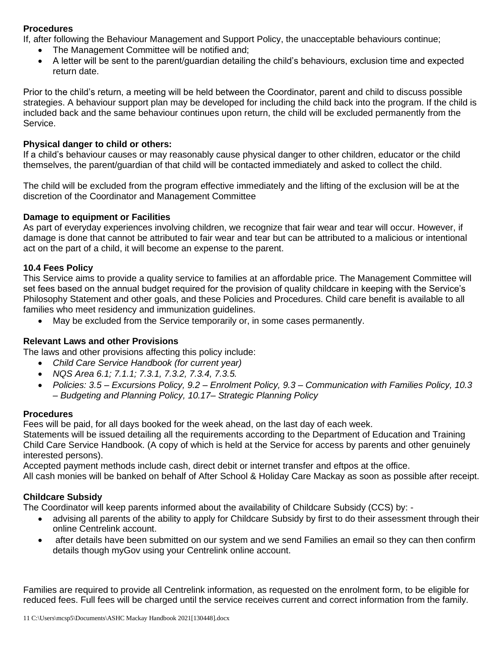# **Procedures**

If, after following the Behaviour Management and Support Policy, the unacceptable behaviours continue;

- The Management Committee will be notified and;
- A letter will be sent to the parent/guardian detailing the child's behaviours, exclusion time and expected return date.

Prior to the child's return, a meeting will be held between the Coordinator, parent and child to discuss possible strategies. A behaviour support plan may be developed for including the child back into the program. If the child is included back and the same behaviour continues upon return, the child will be excluded permanently from the Service.

# **Physical danger to child or others:**

If a child's behaviour causes or may reasonably cause physical danger to other children, educator or the child themselves, the parent/guardian of that child will be contacted immediately and asked to collect the child.

The child will be excluded from the program effective immediately and the lifting of the exclusion will be at the discretion of the Coordinator and Management Committee

# **Damage to equipment or Facilities**

As part of everyday experiences involving children, we recognize that fair wear and tear will occur. However, if damage is done that cannot be attributed to fair wear and tear but can be attributed to a malicious or intentional act on the part of a child, it will become an expense to the parent.

#### **10.4 Fees Policy**

This Service aims to provide a quality service to families at an affordable price. The Management Committee will set fees based on the annual budget required for the provision of quality childcare in keeping with the Service's Philosophy Statement and other goals, and these Policies and Procedures. Child care benefit is available to all families who meet residency and immunization guidelines.

• May be excluded from the Service temporarily or, in some cases permanently.

# **Relevant Laws and other Provisions**

The laws and other provisions affecting this policy include:

- *Child Care Service Handbook (for current year)*
- *NQS Area 6.1; 7.1.1; 7.3.1, 7.3.2, 7.3.4, 7.3.5.*
- *Policies: 3.5 – Excursions Policy, 9.2 – Enrolment Policy, 9.3 – Communication with Families Policy, 10.3 – Budgeting and Planning Policy, 10.17– Strategic Planning Policy*

# **Procedures**

Fees will be paid, for all days booked for the week ahead, on the last day of each week.

Statements will be issued detailing all the requirements according to the Department of Education and Training Child Care Service Handbook. (A copy of which is held at the Service for access by parents and other genuinely interested persons).

Accepted payment methods include cash, direct debit or internet transfer and eftpos at the office.

All cash monies will be banked on behalf of After School & Holiday Care Mackay as soon as possible after receipt.

# **Childcare Subsidy**

The Coordinator will keep parents informed about the availability of Childcare Subsidy (CCS) by: -

- advising all parents of the ability to apply for Childcare Subsidy by first to do their assessment through their online Centrelink account.
- after details have been submitted on our system and we send Families an email so they can then confirm details though myGov using your Centrelink online account.

Families are required to provide all Centrelink information, as requested on the enrolment form, to be eligible for reduced fees. Full fees will be charged until the service receives current and correct information from the family.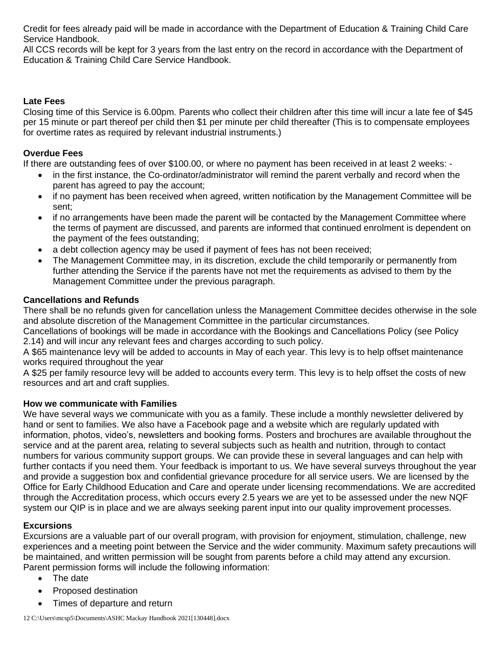Credit for fees already paid will be made in accordance with the Department of Education & Training Child Care Service Handbook.

All CCS records will be kept for 3 years from the last entry on the record in accordance with the Department of Education & Training Child Care Service Handbook.

# **Late Fees**

Closing time of this Service is 6.00pm. Parents who collect their children after this time will incur a late fee of \$45 per 15 minute or part thereof per child then \$1 per minute per child thereafter (This is to compensate employees for overtime rates as required by relevant industrial instruments.)

# **Overdue Fees**

If there are outstanding fees of over \$100.00, or where no payment has been received in at least 2 weeks: -

- in the first instance, the Co-ordinator/administrator will remind the parent verbally and record when the parent has agreed to pay the account;
- if no payment has been received when agreed, written notification by the Management Committee will be sent;
- if no arrangements have been made the parent will be contacted by the Management Committee where the terms of payment are discussed, and parents are informed that continued enrolment is dependent on the payment of the fees outstanding;
- a debt collection agency may be used if payment of fees has not been received;
- The Management Committee may, in its discretion, exclude the child temporarily or permanently from further attending the Service if the parents have not met the requirements as advised to them by the Management Committee under the previous paragraph.

# **Cancellations and Refunds**

There shall be no refunds given for cancellation unless the Management Committee decides otherwise in the sole and absolute discretion of the Management Committee in the particular circumstances.

Cancellations of bookings will be made in accordance with the Bookings and Cancellations Policy (see Policy 2.14) and will incur any relevant fees and charges according to such policy.

A \$65 maintenance levy will be added to accounts in May of each year. This levy is to help offset maintenance works required throughout the year

A \$25 per family resource levy will be added to accounts every term. This levy is to help offset the costs of new resources and art and craft supplies.

# **How we communicate with Families**

We have several ways we communicate with you as a family. These include a monthly newsletter delivered by hand or sent to families. We also have a Facebook page and a website which are regularly updated with information, photos, video's, newsletters and booking forms. Posters and brochures are available throughout the service and at the parent area, relating to several subjects such as health and nutrition, through to contact numbers for various community support groups. We can provide these in several languages and can help with further contacts if you need them. Your feedback is important to us. We have several surveys throughout the year and provide a suggestion box and confidential grievance procedure for all service users. We are licensed by the Office for Early Childhood Education and Care and operate under licensing recommendations. We are accredited through the Accreditation process, which occurs every 2.5 years we are yet to be assessed under the new NQF system our QIP is in place and we are always seeking parent input into our quality improvement processes.

# **Excursions**

Excursions are a valuable part of our overall program, with provision for enjoyment, stimulation, challenge, new experiences and a meeting point between the Service and the wider community. Maximum safety precautions will be maintained, and written permission will be sought from parents before a child may attend any excursion. Parent permission forms will include the following information:

- The date
- Proposed destination
- Times of departure and return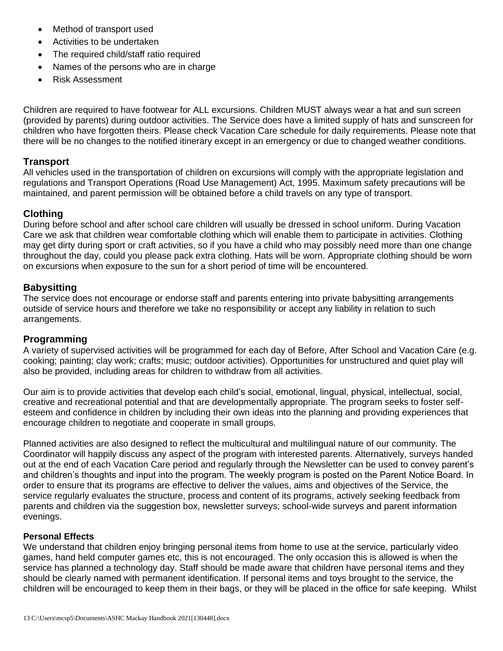- Method of transport used
- Activities to be undertaken
- The required child/staff ratio required
- Names of the persons who are in charge
- Risk Assessment

Children are required to have footwear for ALL excursions. Children MUST always wear a hat and sun screen (provided by parents) during outdoor activities. The Service does have a limited supply of hats and sunscreen for children who have forgotten theirs. Please check Vacation Care schedule for daily requirements. Please note that there will be no changes to the notified itinerary except in an emergency or due to changed weather conditions.

# **Transport**

All vehicles used in the transportation of children on excursions will comply with the appropriate legislation and regulations and Transport Operations (Road Use Management) Act, 1995. Maximum safety precautions will be maintained, and parent permission will be obtained before a child travels on any type of transport.

# **Clothing**

During before school and after school care children will usually be dressed in school uniform. During Vacation Care we ask that children wear comfortable clothing which will enable them to participate in activities. Clothing may get dirty during sport or craft activities, so if you have a child who may possibly need more than one change throughout the day, could you please pack extra clothing. Hats will be worn. Appropriate clothing should be worn on excursions when exposure to the sun for a short period of time will be encountered.

# **Babysitting**

The service does not encourage or endorse staff and parents entering into private babysitting arrangements outside of service hours and therefore we take no responsibility or accept any liability in relation to such arrangements.

# **Programming**

A variety of supervised activities will be programmed for each day of Before, After School and Vacation Care (e.g. cooking; painting; clay work; crafts; music; outdoor activities). Opportunities for unstructured and quiet play will also be provided, including areas for children to withdraw from all activities.

Our aim is to provide activities that develop each child's social, emotional, lingual, physical, intellectual, social, creative and recreational potential and that are developmentally appropriate. The program seeks to foster selfesteem and confidence in children by including their own ideas into the planning and providing experiences that encourage children to negotiate and cooperate in small groups.

Planned activities are also designed to reflect the multicultural and multilingual nature of our community. The Coordinator will happily discuss any aspect of the program with interested parents. Alternatively, surveys handed out at the end of each Vacation Care period and regularly through the Newsletter can be used to convey parent's and children's thoughts and input into the program. The weekly program is posted on the Parent Notice Board. In order to ensure that its programs are effective to deliver the values, aims and objectives of the Service, the service regularly evaluates the structure, process and content of its programs, actively seeking feedback from parents and children via the suggestion box, newsletter surveys; school-wide surveys and parent information evenings.

# **Personal Effects**

We understand that children enjoy bringing personal items from home to use at the service, particularly video games, hand held computer games etc, this is not encouraged. The only occasion this is allowed is when the service has planned a technology day. Staff should be made aware that children have personal items and they should be clearly named with permanent identification. If personal items and toys brought to the service, the children will be encouraged to keep them in their bags, or they will be placed in the office for safe keeping. Whilst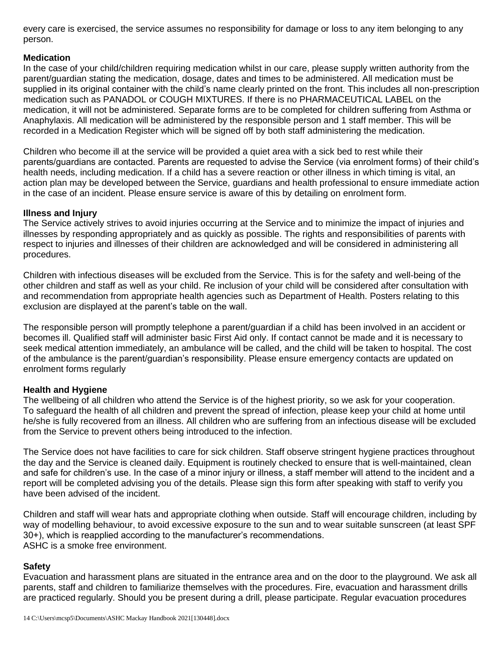every care is exercised, the service assumes no responsibility for damage or loss to any item belonging to any person.

#### **Medication**

In the case of your child/children requiring medication whilst in our care, please supply written authority from the parent/guardian stating the medication, dosage, dates and times to be administered. All medication must be supplied in its original container with the child's name clearly printed on the front. This includes all non-prescription medication such as PANADOL or COUGH MIXTURES. If there is no PHARMACEUTICAL LABEL on the medication, it will not be administered. Separate forms are to be completed for children suffering from Asthma or Anaphylaxis. All medication will be administered by the responsible person and 1 staff member. This will be recorded in a Medication Register which will be signed off by both staff administering the medication.

Children who become ill at the service will be provided a quiet area with a sick bed to rest while their parents/guardians are contacted. Parents are requested to advise the Service (via enrolment forms) of their child's health needs, including medication. If a child has a severe reaction or other illness in which timing is vital, an action plan may be developed between the Service, guardians and health professional to ensure immediate action in the case of an incident. Please ensure service is aware of this by detailing on enrolment form.

#### **Illness and Injury**

The Service actively strives to avoid injuries occurring at the Service and to minimize the impact of injuries and illnesses by responding appropriately and as quickly as possible. The rights and responsibilities of parents with respect to injuries and illnesses of their children are acknowledged and will be considered in administering all procedures.

Children with infectious diseases will be excluded from the Service. This is for the safety and well-being of the other children and staff as well as your child. Re inclusion of your child will be considered after consultation with and recommendation from appropriate health agencies such as Department of Health. Posters relating to this exclusion are displayed at the parent's table on the wall.

The responsible person will promptly telephone a parent/guardian if a child has been involved in an accident or becomes ill. Qualified staff will administer basic First Aid only. If contact cannot be made and it is necessary to seek medical attention immediately, an ambulance will be called, and the child will be taken to hospital. The cost of the ambulance is the parent/guardian's responsibility. Please ensure emergency contacts are updated on enrolment forms regularly

# **Health and Hygiene**

The wellbeing of all children who attend the Service is of the highest priority, so we ask for your cooperation. To safeguard the health of all children and prevent the spread of infection, please keep your child at home until he/she is fully recovered from an illness. All children who are suffering from an infectious disease will be excluded from the Service to prevent others being introduced to the infection.

The Service does not have facilities to care for sick children. Staff observe stringent hygiene practices throughout the day and the Service is cleaned daily. Equipment is routinely checked to ensure that is well-maintained, clean and safe for children's use. In the case of a minor injury or illness, a staff member will attend to the incident and a report will be completed advising you of the details. Please sign this form after speaking with staff to verify you have been advised of the incident.

Children and staff will wear hats and appropriate clothing when outside. Staff will encourage children, including by way of modelling behaviour, to avoid excessive exposure to the sun and to wear suitable sunscreen (at least SPF 30+), which is reapplied according to the manufacturer's recommendations. ASHC is a smoke free environment.

# **Safety**

Evacuation and harassment plans are situated in the entrance area and on the door to the playground. We ask all parents, staff and children to familiarize themselves with the procedures. Fire, evacuation and harassment drills are practiced regularly. Should you be present during a drill, please participate. Regular evacuation procedures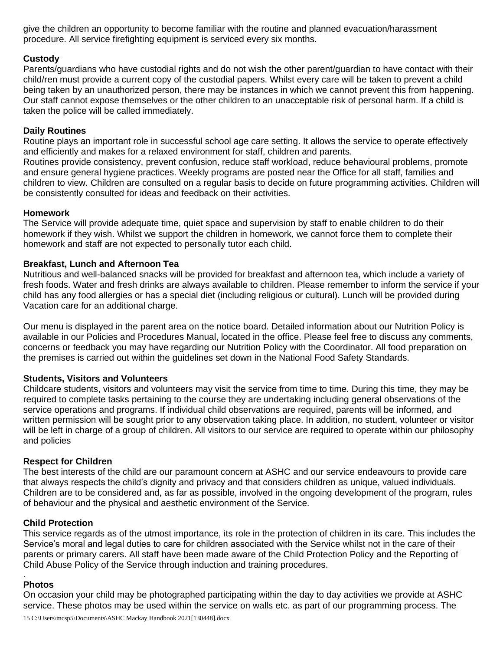give the children an opportunity to become familiar with the routine and planned evacuation/harassment procedure. All service firefighting equipment is serviced every six months.

#### **Custody**

Parents/guardians who have custodial rights and do not wish the other parent/guardian to have contact with their child/ren must provide a current copy of the custodial papers. Whilst every care will be taken to prevent a child being taken by an unauthorized person, there may be instances in which we cannot prevent this from happening. Our staff cannot expose themselves or the other children to an unacceptable risk of personal harm. If a child is taken the police will be called immediately.

#### **Daily Routines**

Routine plays an important role in successful school age care setting. It allows the service to operate effectively and efficiently and makes for a relaxed environment for staff, children and parents.

Routines provide consistency, prevent confusion, reduce staff workload, reduce behavioural problems, promote and ensure general hygiene practices. Weekly programs are posted near the Office for all staff, families and children to view. Children are consulted on a regular basis to decide on future programming activities. Children will be consistently consulted for ideas and feedback on their activities.

#### **Homework**

The Service will provide adequate time, quiet space and supervision by staff to enable children to do their homework if they wish. Whilst we support the children in homework, we cannot force them to complete their homework and staff are not expected to personally tutor each child.

#### **Breakfast, Lunch and Afternoon Tea**

Nutritious and well-balanced snacks will be provided for breakfast and afternoon tea, which include a variety of fresh foods. Water and fresh drinks are always available to children. Please remember to inform the service if your child has any food allergies or has a special diet (including religious or cultural). Lunch will be provided during Vacation care for an additional charge.

Our menu is displayed in the parent area on the notice board. Detailed information about our Nutrition Policy is available in our Policies and Procedures Manual, located in the office. Please feel free to discuss any comments, concerns or feedback you may have regarding our Nutrition Policy with the Coordinator. All food preparation on the premises is carried out within the guidelines set down in the National Food Safety Standards.

#### **Students, Visitors and Volunteers**

Childcare students, visitors and volunteers may visit the service from time to time. During this time, they may be required to complete tasks pertaining to the course they are undertaking including general observations of the service operations and programs. If individual child observations are required, parents will be informed, and written permission will be sought prior to any observation taking place. In addition, no student, volunteer or visitor will be left in charge of a group of children. All visitors to our service are required to operate within our philosophy and policies

#### **Respect for Children**

The best interests of the child are our paramount concern at ASHC and our service endeavours to provide care that always respects the child's dignity and privacy and that considers children as unique, valued individuals. Children are to be considered and, as far as possible, involved in the ongoing development of the program, rules of behaviour and the physical and aesthetic environment of the Service.

#### **Child Protection**

This service regards as of the utmost importance, its role in the protection of children in its care. This includes the Service's moral and legal duties to care for children associated with the Service whilst not in the care of their parents or primary carers. All staff have been made aware of the Child Protection Policy and the Reporting of Child Abuse Policy of the Service through induction and training procedures.

#### . **Photos**

On occasion your child may be photographed participating within the day to day activities we provide at ASHC service. These photos may be used within the service on walls etc. as part of our programming process. The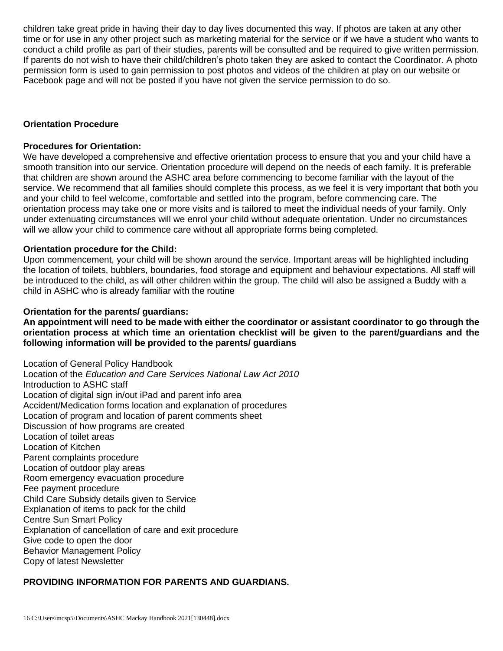children take great pride in having their day to day lives documented this way. If photos are taken at any other time or for use in any other project such as marketing material for the service or if we have a student who wants to conduct a child profile as part of their studies, parents will be consulted and be required to give written permission. If parents do not wish to have their child/children's photo taken they are asked to contact the Coordinator. A photo permission form is used to gain permission to post photos and videos of the children at play on our website or Facebook page and will not be posted if you have not given the service permission to do so.

#### **Orientation Procedure**

#### **Procedures for Orientation:**

We have developed a comprehensive and effective orientation process to ensure that you and your child have a smooth transition into our service. Orientation procedure will depend on the needs of each family. It is preferable that children are shown around the ASHC area before commencing to become familiar with the layout of the service. We recommend that all families should complete this process, as we feel it is very important that both you and your child to feel welcome, comfortable and settled into the program, before commencing care. The orientation process may take one or more visits and is tailored to meet the individual needs of your family. Only under extenuating circumstances will we enrol your child without adequate orientation. Under no circumstances will we allow your child to commence care without all appropriate forms being completed.

#### **Orientation procedure for the Child:**

Upon commencement, your child will be shown around the service. Important areas will be highlighted including the location of toilets, bubblers, boundaries, food storage and equipment and behaviour expectations. All staff will be introduced to the child, as will other children within the group. The child will also be assigned a Buddy with a child in ASHC who is already familiar with the routine

# **Orientation for the parents/ guardians:**

**An appointment will need to be made with either the coordinator or assistant coordinator to go through the orientation process at which time an orientation checklist will be given to the parent/guardians and the following information will be provided to the parents/ guardians**

Location of General Policy Handbook Location of the *Education and Care Services National Law Act 2010* Introduction to ASHC staff Location of digital sign in/out iPad and parent info area Accident/Medication forms location and explanation of procedures Location of program and location of parent comments sheet Discussion of how programs are created Location of toilet areas Location of Kitchen Parent complaints procedure Location of outdoor play areas Room emergency evacuation procedure Fee payment procedure Child Care Subsidy details given to Service Explanation of items to pack for the child Centre Sun Smart Policy Explanation of cancellation of care and exit procedure Give code to open the door Behavior Management Policy Copy of latest Newsletter

# **PROVIDING INFORMATION FOR PARENTS AND GUARDIANS.**